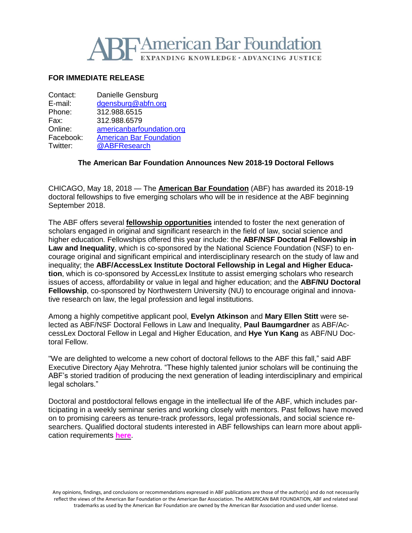

## **FOR IMMEDIATE RELEASE**

| americanbarfoundation.org      |
|--------------------------------|
| <b>American Bar Foundation</b> |
|                                |
|                                |

### **The American Bar Foundation Announces New 2018-19 Doctoral Fellows**

CHICAGO, May 18, 2018 — The **American Bar [Foundation](http://www.americanbarfoundation.org/index.html)** (ABF) has awarded its 2018-19 doctoral fellowships to five emerging scholars who will be in residence at the ABF beginning September 2018.

The ABF offers several **fellowship [opportunities](http://www.americanbarfoundation.org/research/Fellowshipopportunities.html)** intended to foster the next generation of scholars engaged in original and significant research in the field of law, social science and higher education. Fellowships offered this year include: the **ABF/NSF Doctoral Fellowship in Law and Inequality**, which is co-sponsored by the National Science Foundation (NSF) to encourage original and significant empirical and interdisciplinary research on the study of law and inequality; the **ABF/AccessLex Institute Doctoral Fellowship in Legal and Higher Education**, which is co-sponsored by AccessLex Institute to assist emerging scholars who research issues of access, affordability or value in legal and higher education; and the **ABF/NU Doctoral Fellowship**, co-sponsored by Northwestern University (NU) to encourage original and innovative research on law, the legal profession and legal institutions.

Among a highly competitive applicant pool, **Evelyn Atkinson** and **Mary Ellen Stitt** were selected as ABF/NSF Doctoral Fellows in Law and Inequality, **Paul Baumgardner** as ABF/AccessLex Doctoral Fellow in Legal and Higher Education, and **Hye Yun Kang** as ABF/NU Doctoral Fellow.

"We are delighted to welcome a new cohort of doctoral fellows to the ABF this fall," said ABF Executive Directory Ajay Mehrotra. "These highly talented junior scholars will be continuing the ABF's storied tradition of producing the next generation of leading interdisciplinary and empirical legal scholars."

Doctoral and postdoctoral fellows engage in the intellectual life of the ABF, which includes participating in a weekly seminar series and working closely with mentors. Past fellows have moved on to promising careers as tenure-track professors, legal professionals, and social science researchers. Qualified doctoral students interested in ABF fellowships can learn more about application requirements **[here](http://www.americanbarfoundation.org/research/Fellowshipopportunities.html)**.

Any opinions, findings, and conclusions or recommendations expressed in ABF publications are those of the author(s) and do not necessarily reflect the views of the American Bar Foundation or the American Bar Association. The AMERICAN BAR FOUNDATION, ABF and related seal trademarks as used by the American Bar Foundation are owned by the American Bar Association and used under license.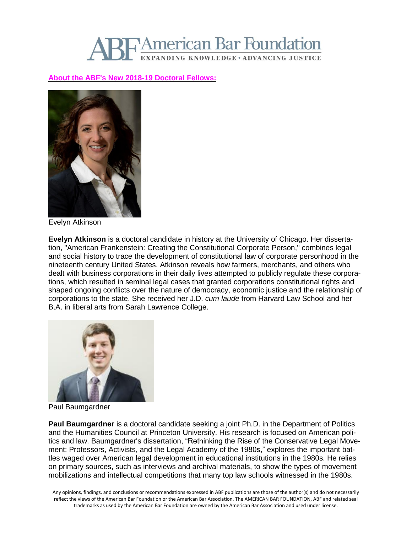# **American Bar Foundation** EXPANDING KNOWLEDGE · ADVANCING JUSTICE

## **About the ABF's New 2018-19 [Doctoral](http://www.americanbarfoundation.org/fellowships/Doctoral_Fellows.html) Fellows:**



Evelyn Atkinson

**Evelyn Atkinson** is a doctoral candidate in history at the University of Chicago. Her dissertation, "American Frankenstein: Creating the Constitutional Corporate Person," combines legal and social history to trace the development of constitutional law of corporate personhood in the nineteenth century United States. Atkinson reveals how farmers, merchants, and others who dealt with business corporations in their daily lives attempted to publicly regulate these corporations, which resulted in seminal legal cases that granted corporations constitutional rights and shaped ongoing conflicts over the nature of democracy, economic justice and the relationship of corporations to the state. She received her J.D. *cum laude* from Harvard Law School and her B.A. in liberal arts from Sarah Lawrence College.



Paul Baumgardner

**Paul Baumgardner** is a doctoral candidate seeking a joint Ph.D. in the Department of Politics and the Humanities Council at Princeton University. His research is focused on American politics and law. Baumgardner's dissertation, "Rethinking the Rise of the Conservative Legal Movement: Professors, Activists, and the Legal Academy of the 1980s," explores the important battles waged over American legal development in educational institutions in the 1980s. He relies on primary sources, such as interviews and archival materials, to show the types of movement mobilizations and intellectual competitions that many top law schools witnessed in the 1980s.

Any opinions, findings, and conclusions or recommendations expressed in ABF publications are those of the author(s) and do not necessarily reflect the views of the American Bar Foundation or the American Bar Association. The AMERICAN BAR FOUNDATION, ABF and related seal trademarks as used by the American Bar Foundation are owned by the American Bar Association and used under license.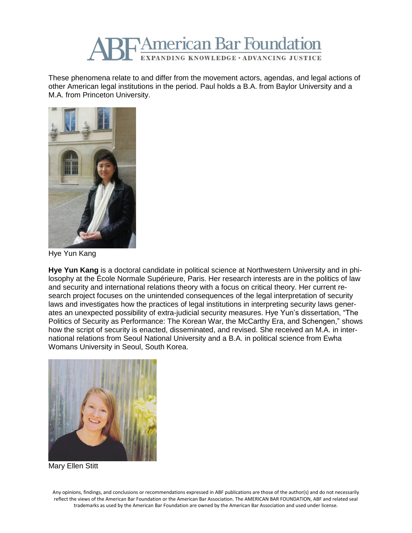

These phenomena relate to and differ from the movement actors, agendas, and legal actions of other American legal institutions in the period. Paul holds a B.A. from Baylor University and a M.A. from Princeton University.



Hye Yun Kang

**Hye Yun Kang** is a doctoral candidate in political science at Northwestern University and in philosophy at the École Normale Supérieure, Paris. Her research interests are in the politics of law and security and international relations theory with a focus on critical theory. Her current research project focuses on the unintended consequences of the legal interpretation of security laws and investigates how the practices of legal institutions in interpreting security laws generates an unexpected possibility of extra-judicial security measures. Hye Yun's dissertation, "The Politics of Security as Performance: The Korean War, the McCarthy Era, and Schengen," shows how the script of security is enacted, disseminated, and revised. She received an M.A. in international relations from Seoul National University and a B.A. in political science from Ewha Womans University in Seoul, South Korea.



Mary Ellen Stitt

Any opinions, findings, and conclusions or recommendations expressed in ABF publications are those of the author(s) and do not necessarily reflect the views of the American Bar Foundation or the American Bar Association. The AMERICAN BAR FOUNDATION, ABF and related seal trademarks as used by the American Bar Foundation are owned by the American Bar Association and used under license.